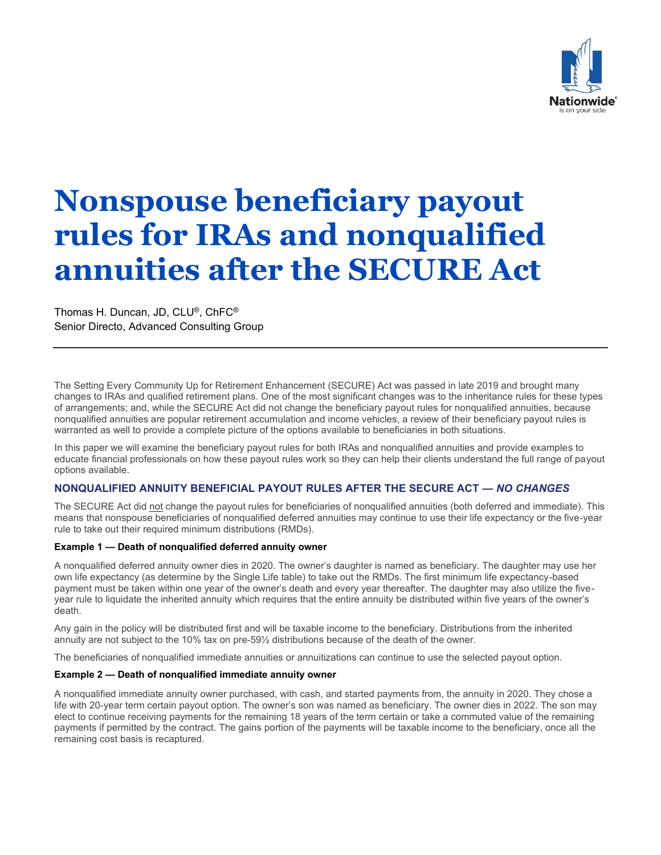

# **Nonspouse beneficiary payout rules for IRAs and nonqualified annuities after the SECURE Act**

Thomas H. Duncan, JD, CLU®, ChFC® Senior Directo, Advanced Consulting Group

The Setting Every Community Up for Retirement Enhancement (SECURE) Act was passed in late 2019 and brought many changes to IRAs and qualified retirement plans. One of the most significant changes was to the inheritance rules for these types of arrangements; and, while the SECURE Act did not change the beneficiary payout rules for nonqualified annuities, because nonqualified annuities are popular retirement accumulation and income vehicles, a review of their beneficiary payout rules is warranted as well to provide a complete picture of the options available to beneficiaries in both situations.

In this paper we will examine the beneficiary payout rules for both IRAs and nonqualified annuities and provide examples to educate financial professionals on how these payout rules work so they can help their clients understand the full range of payout options available.

# **NONQUALIFIED ANNUITY BENEFICIAL PAYOUT RULES AFTER THE SECURE ACT —** *NO CHANGES*

The SECURE Act did not change the payout rules for beneficiaries of nonqualified annuities (both deferred and immediate). This means that nonspouse beneficiaries of nonqualified deferred annuities may continue to use their life expectancy or the five-year rule to take out their required minimum distributions (RMDs).

## **Example 1 — Death of nonqualified deferred annuity owner**

A nonqualified deferred annuity owner dies in 2020. The owner's daughter is named as beneficiary. The daughter may use her own life expectancy (as determine by the Single Life table) to take out the RMDs. The first minimum life expectancy-based payment must be taken within one year of the owner's death and every year thereafter. The daughter may also utilize the fiveyear rule to liquidate the inherited annuity which requires that the entire annuity be distributed within five years of the owner's death.

Any gain in the policy will be distributed first and will be taxable income to the beneficiary. Distributions from the inherited annuity are not subject to the 10% tax on pre-59½ distributions because of the death of the owner.

The beneficiaries of nonqualified immediate annuities or annuitizations can continue to use the selected payout option.

## **Example 2 — Death of nonqualified immediate annuity owner**

A nonqualified immediate annuity owner purchased, with cash, and started payments from, the annuity in 2020. They chose a life with 20-year term certain payout option. The owner's son was named as beneficiary. The owner dies in 2022. The son may elect to continue receiving payments for the remaining 18 years of the term certain or take a commuted value of the remaining payments if permitted by the contract. The gains portion of the payments will be taxable income to the beneficiary, once all the remaining cost basis is recaptured.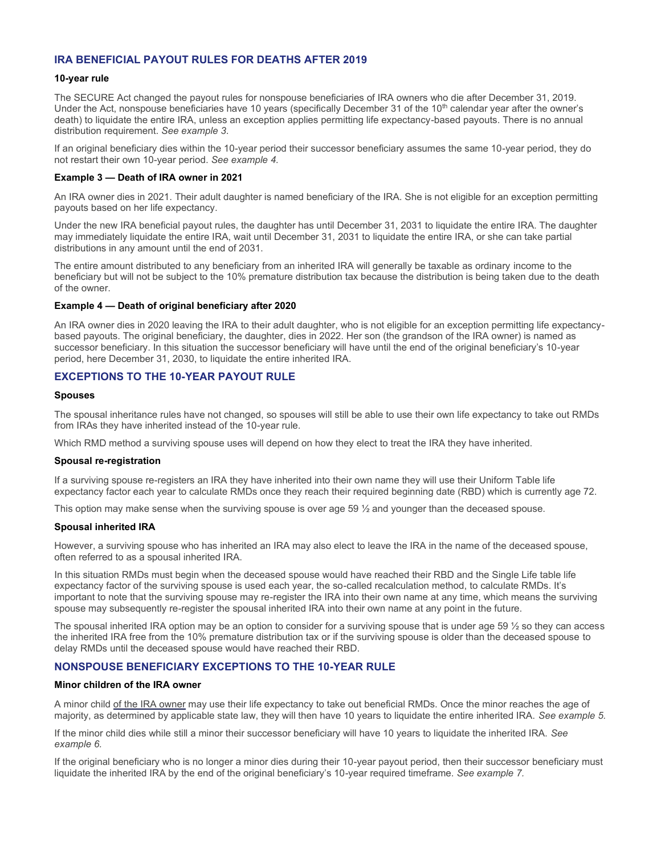## **IRA BENEFICIAL PAYOUT RULES FOR DEATHS AFTER 2019**

#### **10-year rule**

The SECURE Act changed the payout rules for nonspouse beneficiaries of IRA owners who die after December 31, 2019. Under the Act, nonspouse beneficiaries have 10 years (specifically December 31 of the 10<sup>th</sup> calendar year after the owner's death) to liquidate the entire IRA, unless an exception applies permitting life expectancy-based payouts. There is no annual distribution requirement. *See example 3*.

If an original beneficiary dies within the 10-year period their successor beneficiary assumes the same 10-year period, they do not restart their own 10-year period. *See example 4.*

#### **Example 3 — Death of IRA owner in 2021**

An IRA owner dies in 2021. Their adult daughter is named beneficiary of the IRA. She is not eligible for an exception permitting payouts based on her life expectancy.

Under the new IRA beneficial payout rules, the daughter has until December 31, 2031 to liquidate the entire IRA. The daughter may immediately liquidate the entire IRA, wait until December 31, 2031 to liquidate the entire IRA, or she can take partial distributions in any amount until the end of 2031.

The entire amount distributed to any beneficiary from an inherited IRA will generally be taxable as ordinary income to the beneficiary but will not be subject to the 10% premature distribution tax because the distribution is being taken due to the death of the owner.

#### **Example 4 — Death of original beneficiary after 2020**

An IRA owner dies in 2020 leaving the IRA to their adult daughter, who is not eligible for an exception permitting life expectancybased payouts. The original beneficiary, the daughter, dies in 2022. Her son (the grandson of the IRA owner) is named as successor beneficiary. In this situation the successor beneficiary will have until the end of the original beneficiary's 10-year period, here December 31, 2030, to liquidate the entire inherited IRA.

# **EXCEPTIONS TO THE 10-YEAR PAYOUT RULE**

#### **Spouses**

The spousal inheritance rules have not changed, so spouses will still be able to use their own life expectancy to take out RMDs from IRAs they have inherited instead of the 10-year rule.

Which RMD method a surviving spouse uses will depend on how they elect to treat the IRA they have inherited.

#### **Spousal re-registration**

If a surviving spouse re-registers an IRA they have inherited into their own name they will use their Uniform Table life expectancy factor each year to calculate RMDs once they reach their required beginning date (RBD) which is currently age 72.

This option may make sense when the surviving spouse is over age 59  $\frac{1}{2}$  and younger than the deceased spouse.

#### **Spousal inherited IRA**

However, a surviving spouse who has inherited an IRA may also elect to leave the IRA in the name of the deceased spouse, often referred to as a spousal inherited IRA.

In this situation RMDs must begin when the deceased spouse would have reached their RBD and the Single Life table life expectancy factor of the surviving spouse is used each year, the so-called recalculation method, to calculate RMDs. It's important to note that the surviving spouse may re-register the IRA into their own name at any time, which means the surviving spouse may subsequently re-register the spousal inherited IRA into their own name at any point in the future.

The spousal inherited IRA option may be an option to consider for a surviving spouse that is under age 59  $\frac{1}{2}$  so they can access the inherited IRA free from the 10% premature distribution tax or if the surviving spouse is older than the deceased spouse to delay RMDs until the deceased spouse would have reached their RBD.

## **NONSPOUSE BENEFICIARY EXCEPTIONS TO THE 10-YEAR RULE**

#### **Minor children of the IRA owner**

A minor child of the IRA owner may use their life expectancy to take out beneficial RMDs. Once the minor reaches the age of majority, as determined by applicable state law, they will then have 10 years to liquidate the entire inherited IRA. *See example 5.*

If the minor child dies while still a minor their successor beneficiary will have 10 years to liquidate the inherited IRA. *See example 6.*

If the original beneficiary who is no longer a minor dies during their 10-year payout period, then their successor beneficiary must liquidate the inherited IRA by the end of the original beneficiary's 10-year required timeframe. *See example 7.*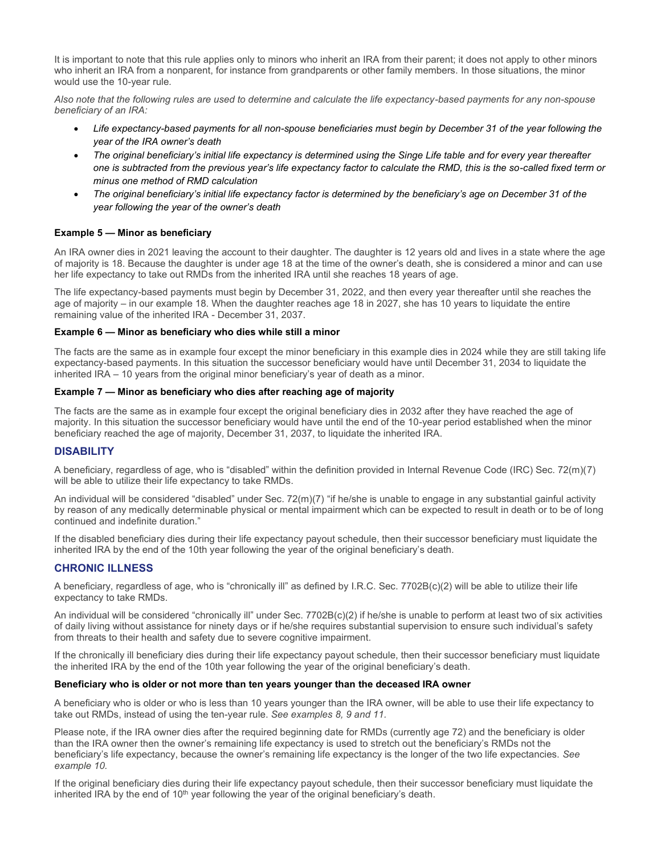It is important to note that this rule applies only to minors who inherit an IRA from their parent; it does not apply to other minors who inherit an IRA from a nonparent, for instance from grandparents or other family members. In those situations, the minor would use the 10-year rule*.*

*Also note that the following rules are used to determine and calculate the life expectancy-based payments for any non-spouse beneficiary of an IRA:*

- *Life expectancy-based payments for all non-spouse beneficiaries must begin by December 31 of the year following the year of the IRA owner's death*
- *The original beneficiary's initial life expectancy is determined using the Singe Life table and for every year thereafter one is subtracted from the previous year's life expectancy factor to calculate the RMD, this is the so-called fixed term or minus one method of RMD calculation*
- *The original beneficiary's initial life expectancy factor is determined by the beneficiary's age on December 31 of the year following the year of the owner's death*

## **Example 5 — Minor as beneficiary**

An IRA owner dies in 2021 leaving the account to their daughter. The daughter is 12 years old and lives in a state where the age of majority is 18. Because the daughter is under age 18 at the time of the owner's death, she is considered a minor and can use her life expectancy to take out RMDs from the inherited IRA until she reaches 18 years of age.

The life expectancy-based payments must begin by December 31, 2022, and then every year thereafter until she reaches the age of majority – in our example 18. When the daughter reaches age 18 in 2027, she has 10 years to liquidate the entire remaining value of the inherited IRA - December 31, 2037.

## **Example 6 — Minor as beneficiary who dies while still a minor**

The facts are the same as in example four except the minor beneficiary in this example dies in 2024 while they are still taking life expectancy-based payments. In this situation the successor beneficiary would have until December 31, 2034 to liquidate the inherited IRA – 10 years from the original minor beneficiary's year of death as a minor.

## **Example 7 — Minor as beneficiary who dies after reaching age of majority**

The facts are the same as in example four except the original beneficiary dies in 2032 after they have reached the age of majority. In this situation the successor beneficiary would have until the end of the 10-year period established when the minor beneficiary reached the age of majority, December 31, 2037, to liquidate the inherited IRA.

# **DISABILITY**

A beneficiary, regardless of age, who is "disabled" within the definition provided in Internal Revenue Code (IRC) Sec. 72(m)(7) will be able to utilize their life expectancy to take RMDs.

An individual will be considered "disabled" under Sec. 72(m)(7) "if he/she is unable to engage in any substantial gainful activity by reason of any medically determinable physical or mental impairment which can be expected to result in death or to be of long continued and indefinite duration."

If the disabled beneficiary dies during their life expectancy payout schedule, then their successor beneficiary must liquidate the inherited IRA by the end of the 10th year following the year of the original beneficiary's death.

# **CHRONIC ILLNESS**

A beneficiary, regardless of age, who is "chronically ill" as defined by I.R.C. Sec. 7702B(c)(2) will be able to utilize their life expectancy to take RMDs.

An individual will be considered "chronically ill" under Sec. 7702B(c)(2) if he/she is unable to perform at least two of six activities of daily living without assistance for ninety days or if he/she requires substantial supervision to ensure such individual's safety from threats to their health and safety due to severe cognitive impairment.

If the chronically ill beneficiary dies during their life expectancy payout schedule, then their successor beneficiary must liquidate the inherited IRA by the end of the 10th year following the year of the original beneficiary's death.

#### **Beneficiary who is older or not more than ten years younger than the deceased IRA owner**

A beneficiary who is older or who is less than 10 years younger than the IRA owner, will be able to use their life expectancy to take out RMDs, instead of using the ten-year rule. *See examples 8, 9 and 11.*

Please note, if the IRA owner dies after the required beginning date for RMDs (currently age 72) and the beneficiary is older than the IRA owner then the owner's remaining life expectancy is used to stretch out the beneficiary's RMDs not the beneficiary's life expectancy, because the owner's remaining life expectancy is the longer of the two life expectancies. *See example 10.*

If the original beneficiary dies during their life expectancy payout schedule, then their successor beneficiary must liquidate the inherited IRA by the end of  $10<sup>th</sup>$  year following the year of the original beneficiary's death.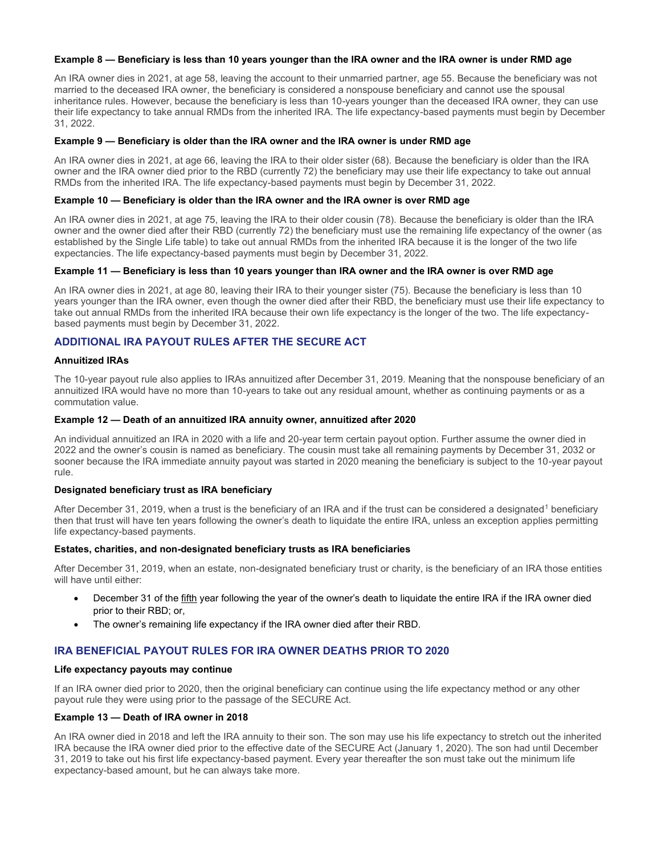#### **Example 8 — Beneficiary is less than 10 years younger than the IRA owner and the IRA owner is under RMD age**

An IRA owner dies in 2021, at age 58, leaving the account to their unmarried partner, age 55. Because the beneficiary was not married to the deceased IRA owner, the beneficiary is considered a nonspouse beneficiary and cannot use the spousal inheritance rules. However, because the beneficiary is less than 10-years younger than the deceased IRA owner, they can use their life expectancy to take annual RMDs from the inherited IRA. The life expectancy-based payments must begin by December 31, 2022.

#### **Example 9 — Beneficiary is older than the IRA owner and the IRA owner is under RMD age**

An IRA owner dies in 2021, at age 66, leaving the IRA to their older sister (68). Because the beneficiary is older than the IRA owner and the IRA owner died prior to the RBD (currently 72) the beneficiary may use their life expectancy to take out annual RMDs from the inherited IRA. The life expectancy-based payments must begin by December 31, 2022.

#### **Example 10 — Beneficiary is older than the IRA owner and the IRA owner is over RMD age**

An IRA owner dies in 2021, at age 75, leaving the IRA to their older cousin (78). Because the beneficiary is older than the IRA owner and the owner died after their RBD (currently 72) the beneficiary must use the remaining life expectancy of the owner (as established by the Single Life table) to take out annual RMDs from the inherited IRA because it is the longer of the two life expectancies. The life expectancy-based payments must begin by December 31, 2022.

#### **Example 11 — Beneficiary is less than 10 years younger than IRA owner and the IRA owner is over RMD age**

An IRA owner dies in 2021, at age 80, leaving their IRA to their younger sister (75). Because the beneficiary is less than 10 years younger than the IRA owner, even though the owner died after their RBD, the beneficiary must use their life expectancy to take out annual RMDs from the inherited IRA because their own life expectancy is the longer of the two. The life expectancybased payments must begin by December 31, 2022.

## **ADDITIONAL IRA PAYOUT RULES AFTER THE SECURE ACT**

#### **Annuitized IRAs**

The 10-year payout rule also applies to IRAs annuitized after December 31, 2019. Meaning that the nonspouse beneficiary of an annuitized IRA would have no more than 10-years to take out any residual amount, whether as continuing payments or as a commutation value.

#### **Example 12 — Death of an annuitized IRA annuity owner, annuitized after 2020**

An individual annuitized an IRA in 2020 with a life and 20-year term certain payout option. Further assume the owner died in 2022 and the owner's cousin is named as beneficiary. The cousin must take all remaining payments by December 31, 2032 or sooner because the IRA immediate annuity payout was started in 2020 meaning the beneficiary is subject to the 10-year payout rule.

#### **Designated beneficiary trust as IRA beneficiary**

After December 31, 2019, when a trust is the beneficiary of an IRA and if the trust can be considered a designated<sup>1</sup> beneficiary then that trust will have ten years following the owner's death to liquidate the entire IRA, unless an exception applies permitting life expectancy-based payments.

#### **Estates, charities, and non-designated beneficiary trusts as IRA beneficiaries**

After December 31, 2019, when an estate, non-designated beneficiary trust or charity, is the beneficiary of an IRA those entities will have until either:

- December 31 of the fifth year following the year of the owner's death to liquidate the entire IRA if the IRA owner died prior to their RBD; or,
- The owner's remaining life expectancy if the IRA owner died after their RBD.

# **IRA BENEFICIAL PAYOUT RULES FOR IRA OWNER DEATHS PRIOR TO 2020**

#### **Life expectancy payouts may continue**

If an IRA owner died prior to 2020, then the original beneficiary can continue using the life expectancy method or any other payout rule they were using prior to the passage of the SECURE Act.

#### **Example 13 — Death of IRA owner in 2018**

An IRA owner died in 2018 and left the IRA annuity to their son. The son may use his life expectancy to stretch out the inherited IRA because the IRA owner died prior to the effective date of the SECURE Act (January 1, 2020). The son had until December 31, 2019 to take out his first life expectancy-based payment. Every year thereafter the son must take out the minimum life expectancy-based amount, but he can always take more.